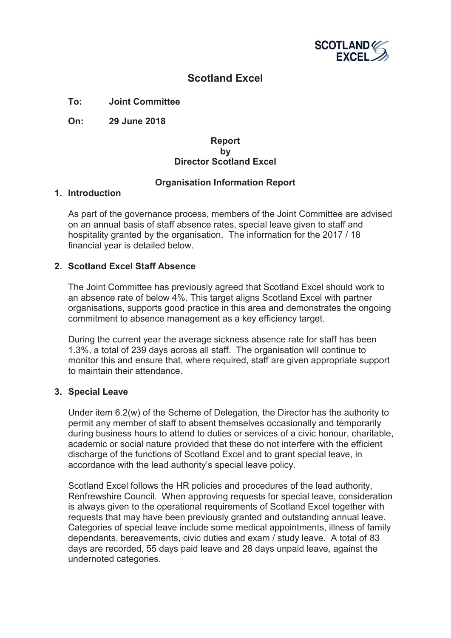

# **Scotland Excel**

**To: Joint Committee**

**On: 29 June 2018**

#### **Report by Director Scotland Excel**

## **Organisation Information Report**

#### **1. Introduction**

As part of the governance process, members of the Joint Committee are advised on an annual basis of staff absence rates, special leave given to staff and hospitality granted by the organisation. The information for the 2017 / 18 financial year is detailed below.

### **2. Scotland Excel Staff Absence**

The Joint Committee has previously agreed that Scotland Excel should work to an absence rate of below 4%. This target aligns Scotland Excel with partner organisations, supports good practice in this area and demonstrates the ongoing commitment to absence management as a key efficiency target.

During the current year the average sickness absence rate for staff has been 1.3%, a total of 239 days across all staff. The organisation will continue to monitor this and ensure that, where required, staff are given appropriate support to maintain their attendance.

### **3. Special Leave**

Under item 6.2(w) of the Scheme of Delegation, the Director has the authority to permit any member of staff to absent themselves occasionally and temporarily during business hours to attend to duties or services of a civic honour, charitable, academic or social nature provided that these do not interfere with the efficient discharge of the functions of Scotland Excel and to grant special leave, in accordance with the lead authority's special leave policy.

Scotland Excel follows the HR policies and procedures of the lead authority, Renfrewshire Council. When approving requests for special leave, consideration is always given to the operational requirements of Scotland Excel together with requests that may have been previously granted and outstanding annual leave. Categories of special leave include some medical appointments, illness of family dependants, bereavements, civic duties and exam / study leave. A total of 83 days are recorded, 55 days paid leave and 28 days unpaid leave, against the undernoted categories.